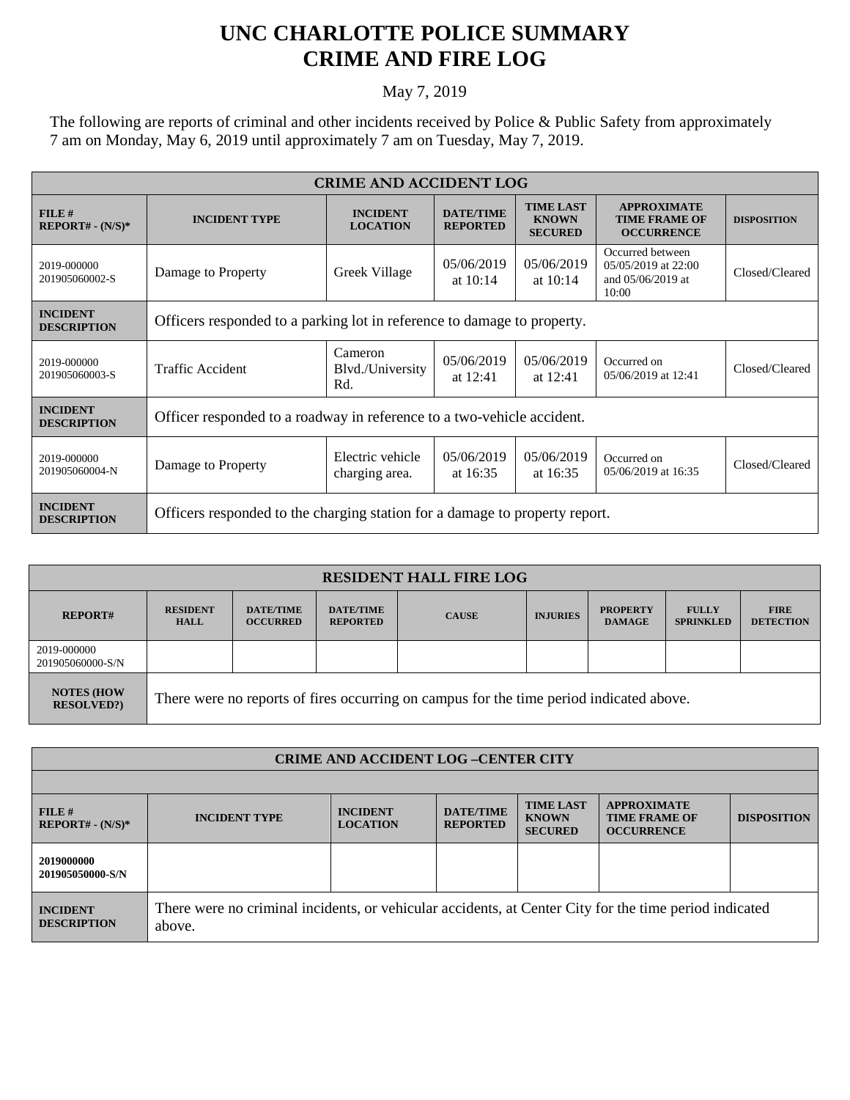## **UNC CHARLOTTE POLICE SUMMARY CRIME AND FIRE LOG**

## May 7, 2019

The following are reports of criminal and other incidents received by Police & Public Safety from approximately 7 am on Monday, May 6, 2019 until approximately 7 am on Tuesday, May 7, 2019.

| <b>CRIME AND ACCIDENT LOG</b>         |                                                                             |                                    |                                     |                                                    |                                                                       |                    |  |
|---------------------------------------|-----------------------------------------------------------------------------|------------------------------------|-------------------------------------|----------------------------------------------------|-----------------------------------------------------------------------|--------------------|--|
| FILE#<br>$REPORT# - (N/S)*$           | <b>INCIDENT TYPE</b>                                                        | <b>INCIDENT</b><br><b>LOCATION</b> | <b>DATE/TIME</b><br><b>REPORTED</b> | <b>TIME LAST</b><br><b>KNOWN</b><br><b>SECURED</b> | <b>APPROXIMATE</b><br><b>TIME FRAME OF</b><br><b>OCCURRENCE</b>       | <b>DISPOSITION</b> |  |
| 2019-000000<br>201905060002-S         | Damage to Property                                                          | Greek Village                      | 05/06/2019<br>at $10:14$            | 05/06/2019<br>at $10:14$                           | Occurred between<br>05/05/2019 at 22:00<br>and 05/06/2019 at<br>10:00 | Closed/Cleared     |  |
| <b>INCIDENT</b><br><b>DESCRIPTION</b> | Officers responded to a parking lot in reference to damage to property.     |                                    |                                     |                                                    |                                                                       |                    |  |
| 2019-000000<br>201905060003-S         | Traffic Accident                                                            | Cameron<br>Blvd./University<br>Rd. | 05/06/2019<br>at $12:41$            | 05/06/2019<br>at $12:41$                           | Occurred on<br>05/06/2019 at 12:41                                    | Closed/Cleared     |  |
| <b>INCIDENT</b><br><b>DESCRIPTION</b> | Officer responded to a roadway in reference to a two-vehicle accident.      |                                    |                                     |                                                    |                                                                       |                    |  |
| 2019-000000<br>201905060004-N         | Damage to Property                                                          | Electric vehicle<br>charging area. | 05/06/2019<br>at $16:35$            | 05/06/2019<br>at 16:35                             | Occurred on<br>05/06/2019 at 16:35                                    | Closed/Cleared     |  |
| <b>INCIDENT</b><br><b>DESCRIPTION</b> | Officers responded to the charging station for a damage to property report. |                                    |                                     |                                                    |                                                                       |                    |  |

| <b>RESIDENT HALL FIRE LOG</b>         |                                                                                         |                                     |                                     |              |                 |                                  |                                  |                                 |
|---------------------------------------|-----------------------------------------------------------------------------------------|-------------------------------------|-------------------------------------|--------------|-----------------|----------------------------------|----------------------------------|---------------------------------|
| <b>REPORT#</b>                        | <b>RESIDENT</b><br><b>HALL</b>                                                          | <b>DATE/TIME</b><br><b>OCCURRED</b> | <b>DATE/TIME</b><br><b>REPORTED</b> | <b>CAUSE</b> | <b>INJURIES</b> | <b>PROPERTY</b><br><b>DAMAGE</b> | <b>FULLY</b><br><b>SPRINKLED</b> | <b>FIRE</b><br><b>DETECTION</b> |
| 2019-000000<br>201905060000-S/N       |                                                                                         |                                     |                                     |              |                 |                                  |                                  |                                 |
| <b>NOTES (HOW</b><br><b>RESOLVED?</b> | There were no reports of fires occurring on campus for the time period indicated above. |                                     |                                     |              |                 |                                  |                                  |                                 |

| <b>CRIME AND ACCIDENT LOG-CENTER CITY</b> |                                                                                                                  |                                    |                                     |                                                    |                                                                 |                    |  |
|-------------------------------------------|------------------------------------------------------------------------------------------------------------------|------------------------------------|-------------------------------------|----------------------------------------------------|-----------------------------------------------------------------|--------------------|--|
|                                           |                                                                                                                  |                                    |                                     |                                                    |                                                                 |                    |  |
| FILE#<br>$REPORT# - (N/S)*$               | <b>INCIDENT TYPE</b>                                                                                             | <b>INCIDENT</b><br><b>LOCATION</b> | <b>DATE/TIME</b><br><b>REPORTED</b> | <b>TIME LAST</b><br><b>KNOWN</b><br><b>SECURED</b> | <b>APPROXIMATE</b><br><b>TIME FRAME OF</b><br><b>OCCURRENCE</b> | <b>DISPOSITION</b> |  |
| 2019000000<br>201905050000-S/N            |                                                                                                                  |                                    |                                     |                                                    |                                                                 |                    |  |
| <b>INCIDENT</b><br><b>DESCRIPTION</b>     | There were no criminal incidents, or vehicular accidents, at Center City for the time period indicated<br>above. |                                    |                                     |                                                    |                                                                 |                    |  |